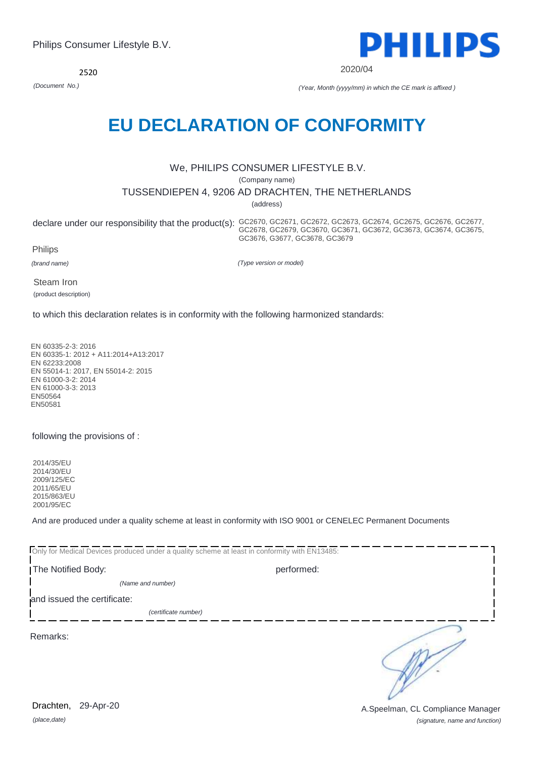*(place,date)* 29-Apr-20

*(signature, name and function)* Drachten, 29-Apr-20 **Drachten, 29-Apr-20** A.Speelman, CL Compliance Manager

2520

*(Document No.) (Year, Month (yyyy/mm) in which the CE mark is affixed )*

# **EU DECLARATION OF CONFORMITY**

# We, PHILIPS CONSUMER LIFESTYLE B.V.

(Company name)

TUSSENDIEPEN 4, 9206 AD DRACHTEN, THE NETHERLANDS

(address)

declare under our responsibility that the product(s): GC2670, GC2671, GC2672, GC2673, GC2674, GC2675, GC2676, GC2677, GC2678, GC2679, GC3670, GC3671, GC3672, GC3673, GC3674, GC3675, GC3676, G3677, GC3678, GC3679

Philips

*(brand name)*

*(Type version or model)*

Steam Iron (product description)

to which this declaration relates is in conformity with the following harmonized standards:

EN 60335-2-3: 2016 EN 60335-1: 2012 + A11:2014+A13:2017 EN 62233:2008 EN 55014-1: 2017, EN 55014-2: 2015 EN 61000-3-2: 2014 EN 61000-3-3: 2013 EN50564 EN50581

following the provisions of :

2014/35/EU 2014/30/EU 2009/125/EC 2011/65/EU 2015/863/EU 2001/95/EC

And are produced under a quality scheme at least in conformity with ISO 9001 or CENELEC Permanent Documents

Only for Medical Devices produced under a quality scheme at least in conformity with EN13485: The Notified Body: performed: *(Name and number)*  and issued the certificate: *(certificate number)* ∋ Remarks:

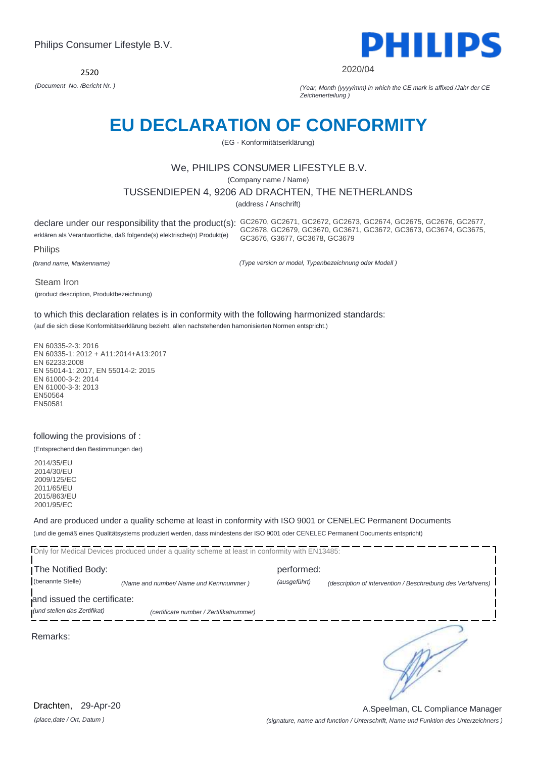2520



2020/04

*(Document No. /Bericht Nr. ) (Year, Month (yyyy/mm) in which the CE mark is affixed /Jahr der CE Zeichenerteilung )*

# **EU DECLARATION OF CONFORMITY**

(EG - Konformitätserklärung)

### We, PHILIPS CONSUMER LIFESTYLE B.V.

(Company name / Name)

### TUSSENDIEPEN 4, 9206 AD DRACHTEN, THE NETHERLANDS

(address / Anschrift)

erklären als Verantwortliche, daß folgende(s) elektrische(n) Produkt(e)

declare under our responsibility that the product(s): GC2670, GC2671, GC2672, GC2673, GC2674, GC2675, GC2676, GC2677, GC2678, GC2679, GC3670, GC3671, GC3672, GC3673, GC3674, GC3675, GC3676, G3677, GC3678, GC3679

Philips

*(brand name, Markenname)*

*(Type version or model, Typenbezeichnung oder Modell )*

Steam Iron

(product description, Produktbezeichnung)

to which this declaration relates is in conformity with the following harmonized standards:

(auf die sich diese Konformitätserklärung bezieht, allen nachstehenden hamonisierten Normen entspricht.)

EN 60335-2-3: 2016 EN 60335-1: 2012 + A11:2014+A13:2017 EN 62233:2008 EN 55014-1: 2017, EN 55014-2: 2015 EN 61000-3-2: 2014 EN 61000-3-3: 2013 EN50564 EN50581

### following the provisions of :

(Entsprechend den Bestimmungen der)

2014/35/EU 2014/30/EU 2009/125/EC 2011/65/EU 2015/863/EU 2001/95/EC

And are produced under a quality scheme at least in conformity with ISO 9001 or CENELEC Permanent Documents (und die gemäß eines Qualitätsystems produziert werden, dass mindestens der ISO 9001 oder CENELEC Permanent Documents entspricht)

Only for Medical Devices produced under a quality scheme at least in conformity with EN13485: The Notified Body: performed: (benannte Stelle) *(Name and number/ Name und Kennnummer ) (ausgeführt) (description of intervention / Beschreibung des Verfahrens)*  and issued the certificate: *(und stellen das Zertifikat) (certificate number / Zertifikatnummer)* ∍ Remarks: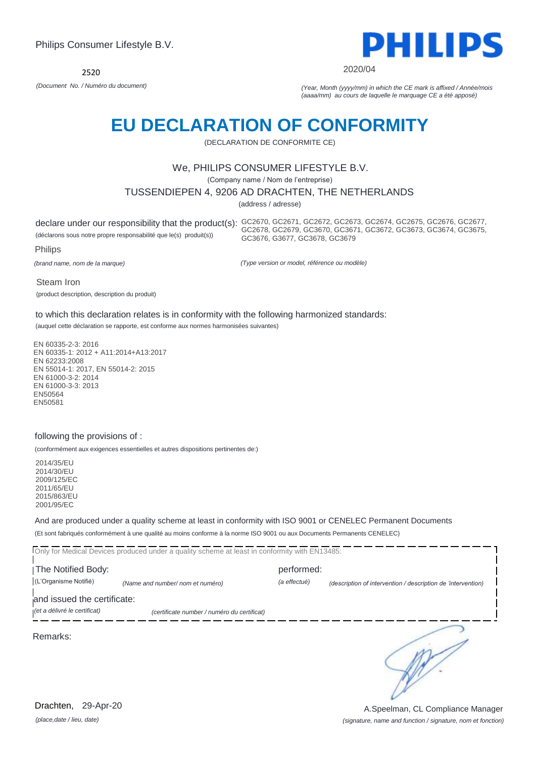

2020/04

*(Document No. / Numéro du document) (Year, Month (yyyy/mm) in which the CE mark is affixed / Année/mois (aaaa/mm) au cours de laquelle le marquage CE a été apposé)*

# **EU DECLARATION OF CONFORMITY**

(DECLARATION DE CONFORMITE CE)

### We, PHILIPS CONSUMER LIFESTYLE B.V.

(Company name / Nom de l'entreprise)

TUSSENDIEPEN 4, 9206 AD DRACHTEN, THE NETHERLANDS

(address / adresse)

declare under our responsibility that the product(s): GC2670, GC2671, GC2672, GC2673, GC2674, GC2675, GC2676, GC2677, (déclarons sous notre propre responsabilité que le(s) produit(s)) GC2678, GC2679, GC3670, GC3671, GC3672, GC3673, GC3674, GC3675, GC3676, G3677, GC3678, GC3679

Philips

*(brand name, nom de la marque)*

*(Type version or model, référence ou modèle)*

Steam Iron

(product description, description du produit)

to which this declaration relates is in conformity with the following harmonized standards:

(auquel cette déclaration se rapporte, est conforme aux normes harmonisées suivantes)

EN 60335-2-3: 2016 EN 60335-1: 2012 + A11:2014+A13:2017 EN 62233:2008 EN 55014-1: 2017, EN 55014-2: 2015 EN 61000-3-2: 2014 EN 61000-3-3: 2013 EN50564 EN50581

### following the provisions of :

(conformément aux exigences essentielles et autres dispositions pertinentes de:)

2014/35/EU 2014/30/EU 2009/125/EC 2011/65/EU 2015/863/EU 2001/95/EC

And are produced under a quality scheme at least in conformity with ISO 9001 or CENELEC Permanent Documents (Et sont fabriqués conformément à une qualité au moins conforme à la norme ISO 9001 ou aux Documents Permanents CENELEC)

Only for Medical Devices produced under a quality scheme at least in conformity with EN13485: **The Notified Body: performed:** (L'Organisme Notifié) *(Name and number/ nom et numéro) (a effectué) (description of intervention / description de 'intervention)*  and issued the certificate: *(et a délivré le certificat) (certificate number / numéro du certificat)* ∍

Remarks:

*(place,date / lieu, date)* Drachten, 29-Apr-20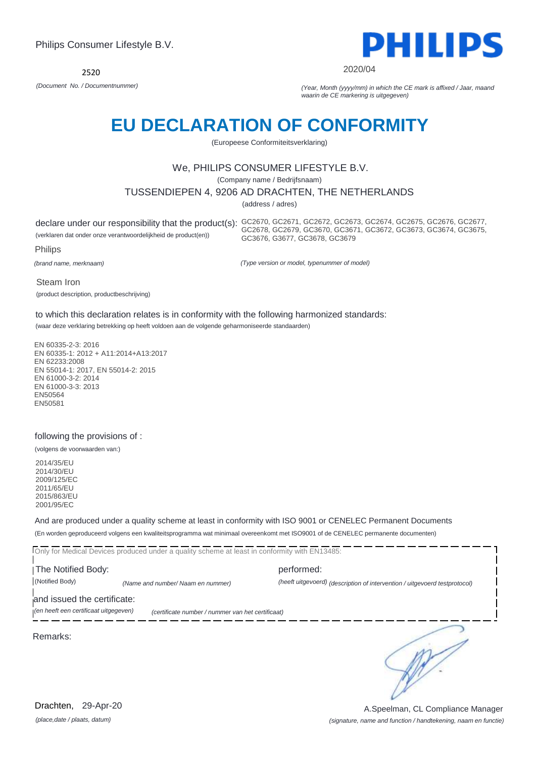

2020/04

*(Document No. / Documentnummer) (Year, Month (yyyy/mm) in which the CE mark is affixed / Jaar, maand waarin de CE markering is uitgegeven)*

# **EU DECLARATION OF CONFORMITY**

(Europeese Conformiteitsverklaring)

### We, PHILIPS CONSUMER LIFESTYLE B.V.

(Company name / Bedrijfsnaam)

TUSSENDIEPEN 4, 9206 AD DRACHTEN, THE NETHERLANDS

(address / adres)

(verklaren dat onder onze verantwoordelijkheid de product(en))

declare under our responsibility that the product(s): GC2670, GC2671, GC2672, GC2673, GC2674, GC2675, GC2676, GC2677, GC2678, GC2679, GC3670, GC3671, GC3672, GC3673, GC3674, GC3675, GC3676, G3677, GC3678, GC3679

Philips

*(brand name, merknaam)*

*(Type version or model, typenummer of model)*

Steam Iron

(product description, productbeschrijving)

to which this declaration relates is in conformity with the following harmonized standards: (waar deze verklaring betrekking op heeft voldoen aan de volgende geharmoniseerde standaarden)

EN 60335-2-3: 2016 EN 60335-1: 2012 + A11:2014+A13:2017 EN 62233:2008 EN 55014-1: 2017, EN 55014-2: 2015 EN 61000-3-2: 2014 EN 61000-3-3: 2013 EN50564 EN50581

### following the provisions of :

(volgens de voorwaarden van:)

2014/35/EU 2014/30/EU 2009/125/EC 2011/65/EU 2015/863/EU 2001/95/EC

And are produced under a quality scheme at least in conformity with ISO 9001 or CENELEC Permanent Documents (En worden geproduceerd volgens een kwaliteitsprogramma wat minimaal overeenkomt met ISO9001 of de CENELEC permanente documenten)

Only for Medical Devices produced under a quality scheme at least in conformity with EN13485: **The Notified Body: performed:** (Notified Body) *(Name and number/ Naam en nummer) (heeft uitgevoerd) (description of intervention / uitgevoerd testprotocol)*  and issued the certificate:

*(en heeft een certificaat uitgegeven) (certificate number / nummer van het certificaat)*

Remarks:

∍

*(place,date / plaats, datum)* Drachten, 29-Apr-20

### *(signature, name and function / handtekening, naam en functie)* A.Speelman, CL Compliance Manager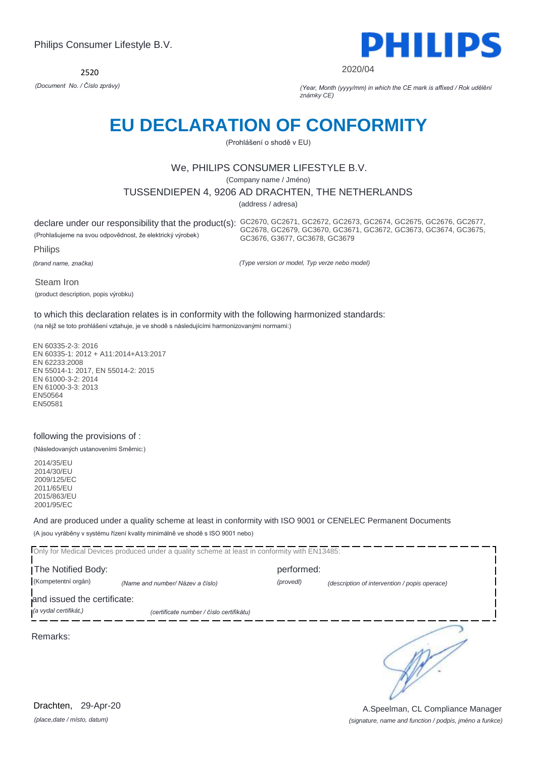2520



2020/04

*(Document No. / Číslo zprávy) (Year, Month (yyyy/mm) in which the CE mark is affixed / Rok udělění známky CE)*

# **EU DECLARATION OF CONFORMITY**

(Prohlášení o shodě v EU)

### We, PHILIPS CONSUMER LIFESTYLE B.V.

(Company name / Jméno)

### TUSSENDIEPEN 4, 9206 AD DRACHTEN, THE NETHERLANDS

(address / adresa)

(Prohlašujeme na svou odpovědnost, že elektrický výrobek)

declare under our responsibility that the product(s): GC2670, GC2671, GC2672, GC2673, GC2674, GC2675, GC2676, GC2677, GC2678, GC2679, GC3670, GC3671, GC3672, GC3673, GC3674, GC3675, GC3676, G3677, GC3678, GC3679

Philips

*(brand name, značka)*

*(Type version or model, Typ verze nebo model)*

Steam Iron

(product description, popis výrobku)

to which this declaration relates is in conformity with the following harmonized standards:

(na nějž se toto prohlášení vztahuje, je ve shodě s následujícími harmonizovanými normami:)

EN 60335-2-3: 2016 EN 60335-1: 2012 + A11:2014+A13:2017 EN 62233:2008 EN 55014-1: 2017, EN 55014-2: 2015 EN 61000-3-2: 2014 EN 61000-3-3: 2013 EN50564 EN50581

### following the provisions of :

(Následovaných ustanoveními Směrnic:)

2014/35/EU 2014/30/EU 2009/125/EC 2011/65/EU 2015/863/EU 2001/95/EC

And are produced under a quality scheme at least in conformity with ISO 9001 or CENELEC Permanent Documents (A jsou vyráběny v systému řízení kvality minimálně ve shodě s ISO 9001 nebo)

Only for Medical Devices produced under a quality scheme at least in conformity with EN13485: The Notified Body: performed: (Kompetentní orgán) *(Name and number/ Název a číslo) (provedl) (description of intervention / popis operace)*  and issued the certificate: *(a vydal certifikát,) (certificate number / číslo certifikátu)* ∍ Remarks:

*(place,date / místo, datum)* Drachten, 29-Apr-20

*(signature, name and function / podpis, jméno a funkce)* A.Speelman, CL Compliance Manager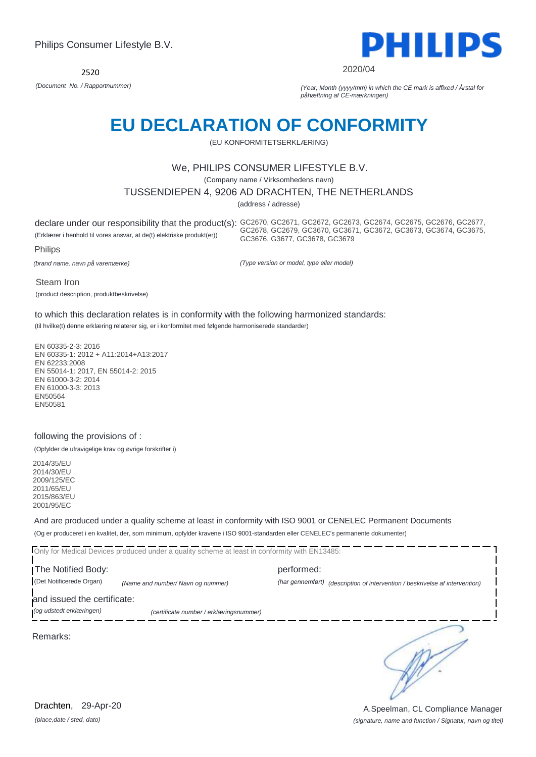

2020/04

*(Document No. / Rapportnummer) (Year, Month (yyyy/mm) in which the CE mark is affixed / Årstal for påhæftning af CE-mærkningen)*

# **EU DECLARATION OF CONFORMITY**

(EU KONFORMITETSERKLÆRING)

### We, PHILIPS CONSUMER LIFESTYLE B.V.

(Company name / Virksomhedens navn)

TUSSENDIEPEN 4, 9206 AD DRACHTEN, THE NETHERLANDS

(address / adresse)

declare under our responsibility that the product(s): GC2670, GC2671, GC2672, GC2673, GC2674, GC2675, GC2676, GC2677, (Erklærer i henhold til vores ansvar, at de(t) elektriske produkt(er)) GC2678, GC2679, GC3670, GC3671, GC3672, GC3673, GC3674, GC3675, GC3676, G3677, GC3678, GC3679

Philips

*(brand name, navn på varemærke)*

*(Type version or model, type eller model)*

Steam Iron

(product description, produktbeskrivelse)

to which this declaration relates is in conformity with the following harmonized standards:

(til hvilke(t) denne erklæring relaterer sig, er i konformitet med følgende harmoniserede standarder)

EN 60335-2-3: 2016 EN 60335-1: 2012 + A11:2014+A13:2017 EN 62233:2008 EN 55014-1: 2017, EN 55014-2: 2015 EN 61000-3-2: 2014 EN 61000-3-3: 2013 EN50564 EN50581

### following the provisions of :

(Opfylder de ufravigelige krav og øvrige forskrifter i)

2014/35/EU 2014/30/EU 2009/125/EC 2011/65/EU 2015/863/EU 2001/95/EC

And are produced under a quality scheme at least in conformity with ISO 9001 or CENELEC Permanent Documents (Og er produceret i en kvalitet, der, som minimum, opfylder kravene i ISO 9001-standarden eller CENELEC's permanente dokumenter)

Only for Medical Devices produced under a quality scheme at least in conformity with EN13485:

The Notified Body: example and performed: performed: (Det Notificerede Organ) *(Name and number/ Navn og nummer) (har gennemført) (description of intervention / beskrivelse af intervention)* 

and issued the certificate:

*(og udstedt erklæringen) (certificate number / erklæringsnummer)*

Remarks:

*(place,date / sted, dato)* Drachten, 29-Apr-20

∍

*(signature, name and function / Signatur, navn og titel)* A.Speelman, CL Compliance Manager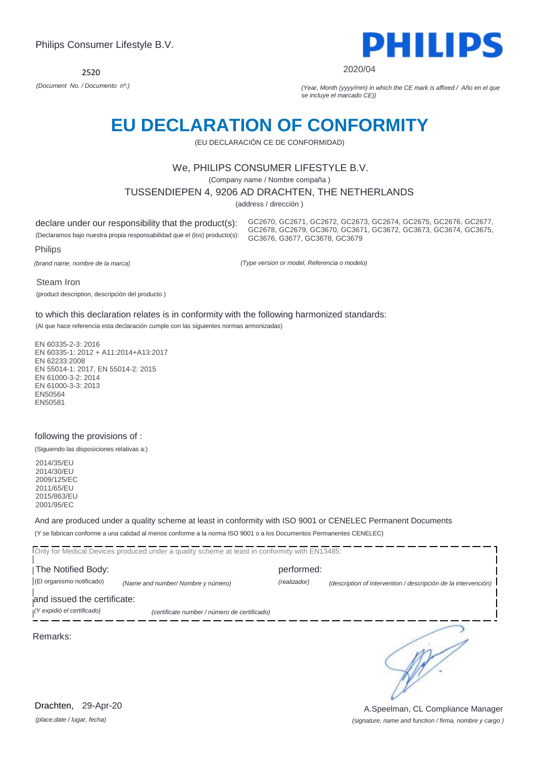

#### 2020/04

*(Document No. / Documento nº.) (Year, Month (yyyy/mm) in which the CE mark is affixed / Año en el que se incluye el marcado CE))*

# **EU DECLARATION OF CONFORMITY**

(EU DECLARACIÓN CE DE CONFORMIDAD)

### We, PHILIPS CONSUMER LIFESTYLE B.V.

(Company name / Nombre compaña )

TUSSENDIEPEN 4, 9206 AD DRACHTEN, THE NETHERLANDS

(address / dirección )

declare under our responsibility that the product(s): (Declaramos bajo nuestra propia responsabilidad que el (los) producto(s):

GC2670, GC2671, GC2672, GC2673, GC2674, GC2675, GC2676, GC2677, GC2678, GC2679, GC3670, GC3671, GC3672, GC3673, GC3674, GC3675, GC3676, G3677, GC3678, GC3679

Philips

*(brand name, nombre de la marca)*

*(Type version or model, Referencia o modelo)*

Steam Iron

(product description, descripción del producto )

to which this declaration relates is in conformity with the following harmonized standards:

(Al que hace referencia esta declaración cumple con las siguientes normas armonizadas)

EN 60335-2-3: 2016 EN 60335-1: 2012 + A11:2014+A13:2017 EN 62233:2008 EN 55014-1: 2017, EN 55014-2: 2015 EN 61000-3-2: 2014 EN 61000-3-3: 2013 EN50564 EN50581

### following the provisions of :

(Siguiendo las disposiciones relativas a:)

2014/35/EU 2014/30/EU 2009/125/EC 2011/65/EU 2015/863/EU 2001/95/EC

And are produced under a quality scheme at least in conformity with ISO 9001 or CENELEC Permanent Documents (Y se fabrican conforme a una calidad al menos conforme a la norma ISO 9001 o a los Documentos Permanentes CENELEC)

Only for Medical Devices produced under a quality scheme at least in conformity with EN13485: **The Notified Body: performed:** (El organismo notificado) *(Name and number/ Nombre y número) (realizador) (description of intervention / descripción de la intervención)*  and issued the certificate: *(Y expidió el certificado) (certificate number / número de certificado)* ∍ Remarks:

*(place,date / lugar, fecha)* Drachten, 29-Apr-20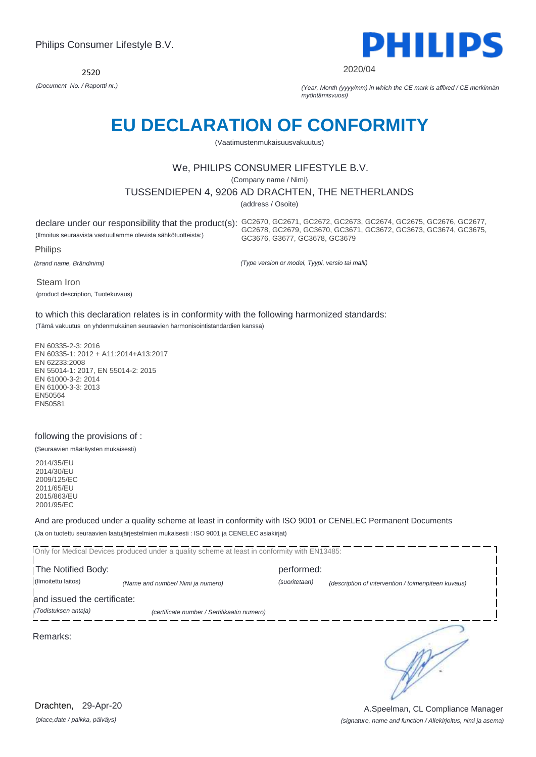

2020/04

*(Document No. / Raportti nr.) (Year, Month (yyyy/mm) in which the CE mark is affixed / CE merkinnän myöntämisvuosi)*

# **EU DECLARATION OF CONFORMITY**

(Vaatimustenmukaisuusvakuutus)

### We, PHILIPS CONSUMER LIFESTYLE B.V.

(Company name / Nimi)

TUSSENDIEPEN 4, 9206 AD DRACHTEN, THE NETHERLANDS

(address / Osoite)

(Ilmoitus seuraavista vastuullamme olevista sähkötuotteista:)

declare under our responsibility that the product(s): GC2670, GC2671, GC2672, GC2673, GC2674, GC2675, GC2676, GC2677, GC2678, GC2679, GC3670, GC3671, GC3672, GC3673, GC3674, GC3675, GC3676, G3677, GC3678, GC3679

Philips

*(brand name, Brändinimi)*

*(Type version or model, Tyypi, versio tai malli)*

Steam Iron (product description, Tuotekuvaus)

to which this declaration relates is in conformity with the following harmonized standards:

(Tämä vakuutus on yhdenmukainen seuraavien harmonisointistandardien kanssa)

EN 60335-2-3: 2016 EN 60335-1: 2012 + A11:2014+A13:2017 EN 62233:2008 EN 55014-1: 2017, EN 55014-2: 2015 EN 61000-3-2: 2014 EN 61000-3-3: 2013 EN50564 EN50581

### following the provisions of :

(Seuraavien määräysten mukaisesti)

2014/35/EU 2014/30/EU 2009/125/EC 2011/65/EU 2015/863/EU 2001/95/EC

And are produced under a quality scheme at least in conformity with ISO 9001 or CENELEC Permanent Documents (Ja on tuotettu seuraavien laatujärjestelmien mukaisesti : ISO 9001 ja CENELEC asiakirjat)

Only for Medical Devices produced under a quality scheme at least in conformity with EN13485: **The Notified Body: performed:** (Ilmoitettu laitos) *(Name and number/ Nimi ja numero) (suoritetaan) (description of intervention / toimenpiteen kuvaus)*  and issued the certificate: *(Todistuksen antaja) (certificate number / Sertifikaatin numero)* ∍ Remarks:

*(place,date / paikka, päiväys)* Drachten, 29-Apr-20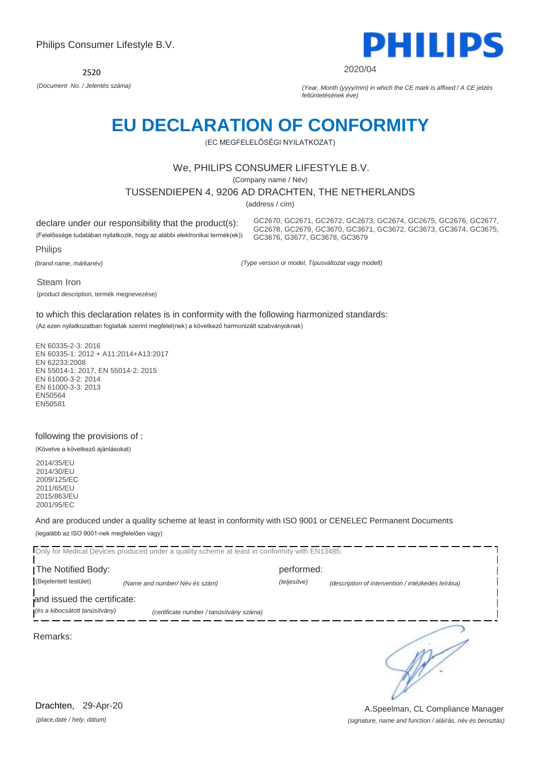

#### 2020/04

*(Document No. / Jelentés száma) (Year, Month (yyyy/mm) in which the CE mark is affixed / A CE jelzés feltüntetésének éve)*

# **EU DECLARATION OF CONFORMITY**

(EC MEGFELELŐSÉGI NYILATKOZAT)

### We, PHILIPS CONSUMER LIFESTYLE B.V.

(Company name / Név)

TUSSENDIEPEN 4, 9206 AD DRACHTEN, THE NETHERLANDS

(address / cím)

declare under our responsibility that the product(s):

(Felelőssége tudatában nyilatkozik, hogy az alábbi elektronikai termék(ek))

GC2670, GC2671, GC2672, GC2673, GC2674, GC2675, GC2676, GC2677, GC2678, GC2679, GC3670, GC3671, GC3672, GC3673, GC3674, GC3675, GC3676, G3677, GC3678, GC3679

Philips

*(brand name, márkanév)*

*(Type version or model, Típusváltozat vagy modell)*

Steam Iron

(product description, termék megnevezése)

to which this declaration relates is in conformity with the following harmonized standards:

(Az ezen nyilatkozatban foglaltak szerint megfelel(nek) a következő harmonizált szabványoknak)

EN 60335-2-3: 2016 EN 60335-1: 2012 + A11:2014+A13:2017 EN 62233:2008 EN 55014-1: 2017, EN 55014-2: 2015 EN 61000-3-2: 2014 EN 61000-3-3: 2013 EN50564 EN50581

### following the provisions of :

(Követve a következő ajánlásokat)

2014/35/EU 2014/30/EU 2009/125/EC 2011/65/EU 2015/863/EU 2001/95/EC

And are produced under a quality scheme at least in conformity with ISO 9001 or CENELEC Permanent Documents (legalább az ISO 9001-nek megfelelően vagy)

Only for Medical Devices produced under a quality scheme at least in conformity with EN13485: The Notified Body: example and the Notified Body: (Bejelentett testület) *(Name and number/ Név és szám) (teljesítve) (description of intervention / intézkedés leírása)*  and issued the certificate: *(és a kibocsátott tanúsítvány) (certificate number / tanúsítvány száma)* ∍ Remarks:

*(place,date / hely, dátum)* Drachten, 29-Apr-20

#### *(signature, name and function / aláírás, név és beosztás)* A.Speelman, CL Compliance Manager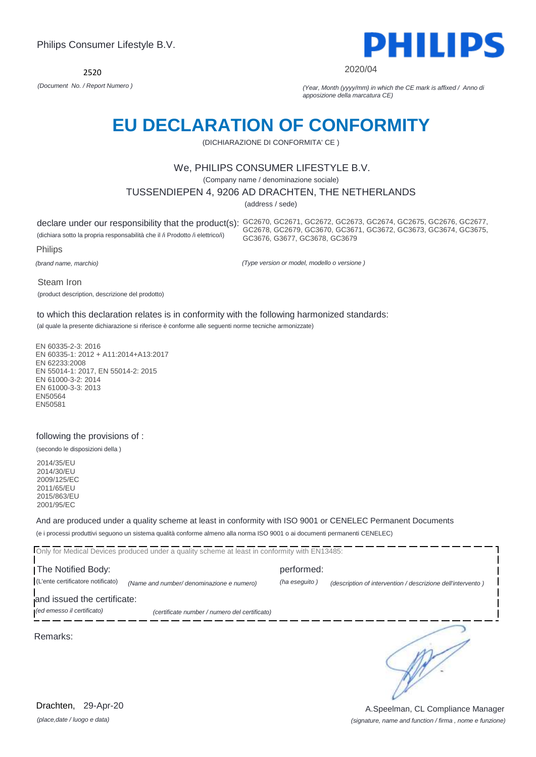

#### 2020/04

*(Document No. / Report Numero ) (Year, Month (yyyy/mm) in which the CE mark is affixed / Anno di apposizione della marcatura CE)*

# **EU DECLARATION OF CONFORMITY**

(DICHIARAZIONE DI CONFORMITA' CE )

### We, PHILIPS CONSUMER LIFESTYLE B.V.

(Company name / denominazione sociale)

### TUSSENDIEPEN 4, 9206 AD DRACHTEN, THE NETHERLANDS

(address / sede)

(dichiara sotto la propria responsabilità che il /i Prodotto /i elettrico/i)

declare under our responsibility that the product(s): GC2670, GC2671, GC2672, GC2673, GC2674, GC2675, GC2676, GC2677, GC2678, GC2679, GC3670, GC3671, GC3672, GC3673, GC3674, GC3675, GC3676, G3677, GC3678, GC3679

Philips

*(brand name, marchio)*

*(Type version or model, modello o versione )*

Steam Iron

(product description, descrizione del prodotto)

to which this declaration relates is in conformity with the following harmonized standards:

(al quale la presente dichiarazione si riferisce è conforme alle seguenti norme tecniche armonizzate)

EN 60335-2-3: 2016 EN 60335-1: 2012 + A11:2014+A13:2017 EN 62233:2008 EN 55014-1: 2017, EN 55014-2: 2015 EN 61000-3-2: 2014 EN 61000-3-3: 2013 EN50564 EN50581

### following the provisions of :

(secondo le disposizioni della )

2014/35/EU 2014/30/EU 2009/125/EC 2011/65/EU 2015/863/EU 2001/95/EC

And are produced under a quality scheme at least in conformity with ISO 9001 or CENELEC Permanent Documents (e i processi produttivi seguono un sistema qualità conforme almeno alla norma ISO 9001 o ai documenti permanenti CENELEC)

|                                                                  | Only for Medical Devices produced under a quality scheme at least in conformity with EN13485: |               |                                                             |
|------------------------------------------------------------------|-----------------------------------------------------------------------------------------------|---------------|-------------------------------------------------------------|
| The Notified Body:                                               |                                                                                               | performed:    |                                                             |
| (L'ente certificatore notificato)<br>and issued the certificate: | (Name and number/ denominazione e numero)                                                     | (ha eseguito) | (description of intervention / descrizione dell'intervento) |
| (ed emesso il certificato)                                       | (certificate number / numero del certificato)                                                 |               |                                                             |
| Remarks:                                                         |                                                                                               |               |                                                             |

*(place,date / luogo e data)* Drachten, 29-Apr-20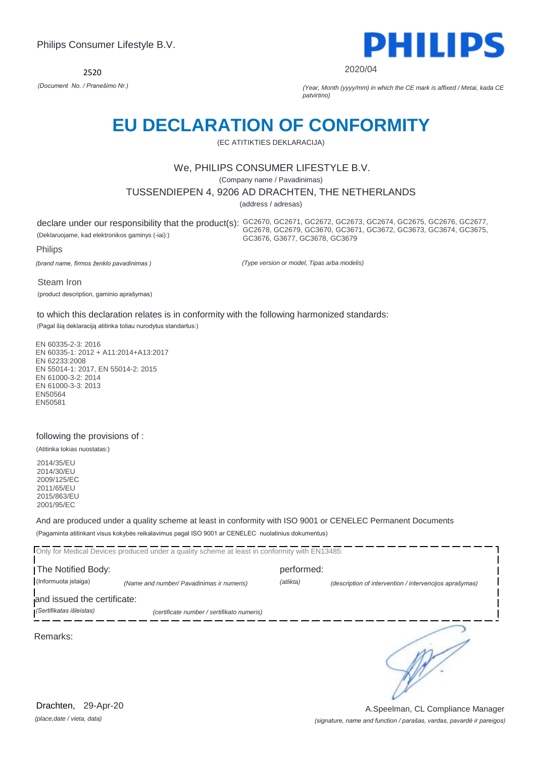

2020/04

*(Document No. / Pranešimo Nr.) (Year, Month (yyyy/mm) in which the CE mark is affixed / Metai, kada CE patvirtino)*

# **EU DECLARATION OF CONFORMITY**

(EC ATITIKTIES DEKLARACIJA)

### We, PHILIPS CONSUMER LIFESTYLE B.V.

(Company name / Pavadinimas)

TUSSENDIEPEN 4, 9206 AD DRACHTEN, THE NETHERLANDS

(address / adresas)

(Deklaruojame, kad elektronikos gaminys (-iai):)

declare under our responsibility that the product(s): GC2670, GC2671, GC2672, GC2673, GC2674, GC2675, GC2676, GC2677, GC2678, GC2679, GC3670, GC3671, GC3672, GC3673, GC3674, GC3675, GC3676, G3677, GC3678, GC3679

Philips

*(brand name, firmos ženklo pavadinimas )*

*(Type version or model, Tipas arba modelis)*

Steam Iron

(product description, gaminio aprašymas)

to which this declaration relates is in conformity with the following harmonized standards:

(Pagal šią deklaraciją atitinka toliau nurodytus standartus:)

EN 60335-2-3: 2016 EN 60335-1: 2012 + A11:2014+A13:2017 EN 62233:2008 EN 55014-1: 2017, EN 55014-2: 2015 EN 61000-3-2: 2014 EN 61000-3-3: 2013 EN50564 EN50581

### following the provisions of :

(Atitinka tokias nuostatas:)

2014/35/EU 2014/30/EU 2009/125/EC 2011/65/EU 2015/863/EU 2001/95/EC

And are produced under a quality scheme at least in conformity with ISO 9001 or CENELEC Permanent Documents (Pagaminta atitinkant visus kokybės reikalavimus pagal ISO 9001 ar CENELEC nuolatinius dokumentus)

|                             | Only for Medical Devices produced under a quality scheme at least in conformity with EN13485: |            |                                                         |
|-----------------------------|-----------------------------------------------------------------------------------------------|------------|---------------------------------------------------------|
| The Notified Body:          |                                                                                               | performed: |                                                         |
| (Informuota įstaiga)        | (Name and number/ Pavadinimas ir numeris)                                                     | (atlikta)  | (description of intervention / intervencijos aprašymas) |
| and issued the certificate: |                                                                                               |            |                                                         |
| (Sertifikatas išleistas)    | (certificate number / sertifikato numeris)                                                    |            |                                                         |
| Remarks:                    |                                                                                               |            |                                                         |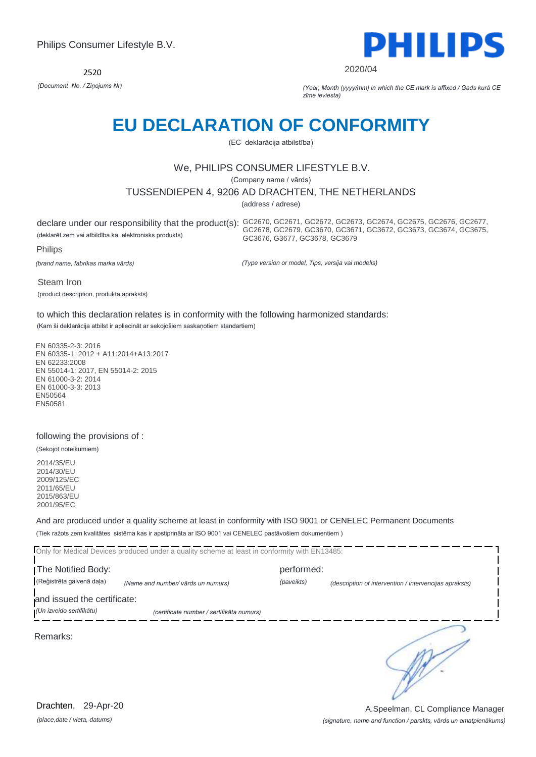

#### 2020/04

*(Document No. / Ziņojums Nr) (Year, Month (yyyy/mm) in which the CE mark is affixed / Gads kurā CE zīme ieviesta)*

# **EU DECLARATION OF CONFORMITY**

(EC deklarācija atbilstība)

### We, PHILIPS CONSUMER LIFESTYLE B.V.

(Company name / vārds)

### TUSSENDIEPEN 4, 9206 AD DRACHTEN, THE NETHERLANDS

(address / adrese)

(deklarēt zem vai atbildība ka, elektronisks produkts)

declare under our responsibility that the product(s): GC2670, GC2671, GC2672, GC2673, GC2674, GC2675, GC2676, GC2677, GC2678, GC2679, GC3670, GC3671, GC3672, GC3673, GC3674, GC3675, GC3676, G3677, GC3678, GC3679

Philips

*(brand name, fabrikas marka vārds)*

*(Type version or model, Tips, versija vai modelis)*

Steam Iron (product description, produkta apraksts)

to which this declaration relates is in conformity with the following harmonized standards:

(Kam ši deklarācija atbilst ir apliecināt ar sekojošiem saskaņotiem standartiem)

EN 60335-2-3: 2016 EN 60335-1: 2012 + A11:2014+A13:2017 EN 62233:2008 EN 55014-1: 2017, EN 55014-2: 2015 EN 61000-3-2: 2014 EN 61000-3-3: 2013 EN50564 EN50581

### following the provisions of :

(Sekojot noteikumiem)

2014/35/EU 2014/30/EU 2009/125/EC 2011/65/EU 2015/863/EU 2001/95/EC

And are produced under a quality scheme at least in conformity with ISO 9001 or CENELEC Permanent Documents (Tiek ražots zem kvalitātes sistēma kas ir apstiprināta ar ISO 9001 vai CENELEC pastāvošiem dokumentiem )

|                                  | Only for Medical Devices produced under a quality scheme at least in conformity with EN13485: |            |                                                        |
|----------------------------------|-----------------------------------------------------------------------------------------------|------------|--------------------------------------------------------|
| The Notified Body:<br>performed: |                                                                                               |            |                                                        |
| (Reģistrēta galvenā daļa)        | (Name and number/ vārds un numurs)                                                            | (paveikts) | (description of intervention / intervencijas apraksts) |
| and issued the certificate:      |                                                                                               |            |                                                        |
| (Un izveido sertifikātu)         | (certificate number / sertifikāta numurs)                                                     |            |                                                        |
| Remarks:                         |                                                                                               |            |                                                        |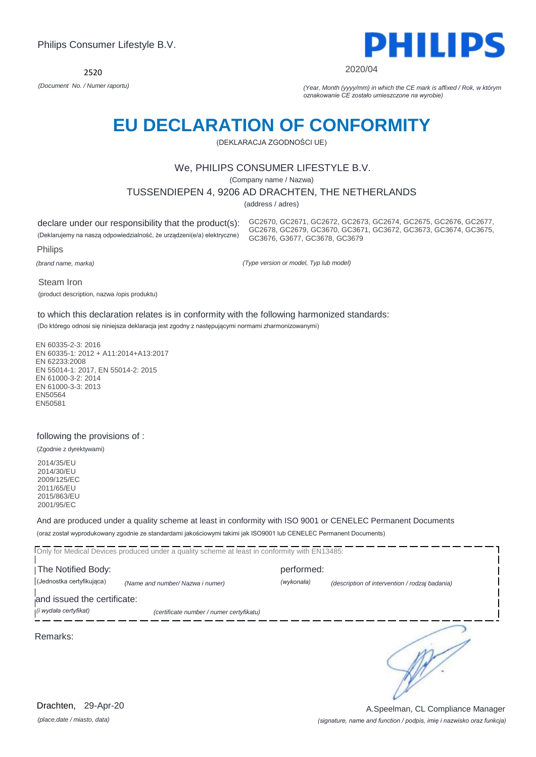

#### 2020/04

*(Document No. / Numer raportu) (Year, Month (yyyy/mm) in which the CE mark is affixed / Rok, w którym oznakowanie CE zostało umieszczone na wyrobie)*

# **EU DECLARATION OF CONFORMITY**

(DEKLARACJA ZGODNOŚCI UE)

### We, PHILIPS CONSUMER LIFESTYLE B.V.

(Company name / Nazwa)

TUSSENDIEPEN 4, 9206 AD DRACHTEN, THE NETHERLANDS

(address / adres)

declare under our responsibility that the product(s):

(Deklarujemy na naszą odpowiedzialność, że urządzeni(e/a) elektryczne)

GC2670, GC2671, GC2672, GC2673, GC2674, GC2675, GC2676, GC2677, GC2678, GC2679, GC3670, GC3671, GC3672, GC3673, GC3674, GC3675, GC3676, G3677, GC3678, GC3679

Philips

*(brand name, marka)*

*(Type version or model, Typ lub model)*

Steam Iron

(product description, nazwa /opis produktu)

to which this declaration relates is in conformity with the following harmonized standards:

(Do którego odnosi się niniejsza deklaracja jest zgodny z następującymi normami zharmonizowanymi)

EN 60335-2-3: 2016 EN 60335-1: 2012 + A11:2014+A13:2017 EN 62233:2008 EN 55014-1: 2017, EN 55014-2: 2015 EN 61000-3-2: 2014 EN 61000-3-3: 2013 EN50564 EN50581

### following the provisions of :

(Zgodnie z dyrektywami)

2014/35/EU 2014/30/EU 2009/125/EC 2011/65/EU 2015/863/EU 2001/95/EC

And are produced under a quality scheme at least in conformity with ISO 9001 or CENELEC Permanent Documents (oraz został wyprodukowany zgodnie ze standardami jakościowymi takimi jak ISO9001 lub CENELEC Permanent Documents)

|                                                      | Only for Medical Devices produced under a quality scheme at least in conformity with EN13485: |            |                                                |
|------------------------------------------------------|-----------------------------------------------------------------------------------------------|------------|------------------------------------------------|
| The Notified Body:                                   |                                                                                               | performed: |                                                |
| (Jednostka certyfikująca)                            | (Name and number/ Nazwa i numer)                                                              | (wykonała) | (description of intervention / rodzaj badania) |
| and issued the certificate:<br>(i wydała certyfikat) | (certificate number / numer certyfikatu)                                                      |            |                                                |
| Remarks:                                             |                                                                                               |            |                                                |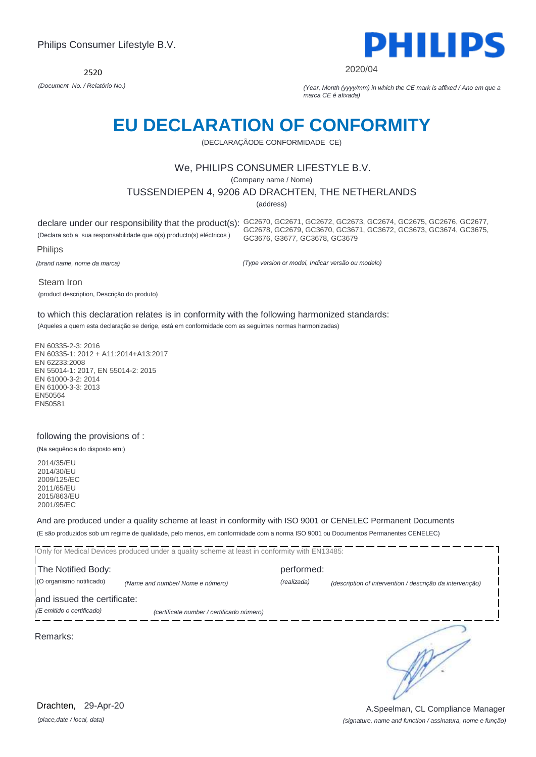

#### 2020/04

GC2678, GC2679, GC3670, GC3671, GC3672, GC3673, GC3674, GC3675,

*(Document No. / Relatório No.) (Year, Month (yyyy/mm) in which the CE mark is affixed / Ano em que a marca CE é afixada)*

# **EU DECLARATION OF CONFORMITY**

(DECLARAÇÃODE CONFORMIDADE CE)

### We, PHILIPS CONSUMER LIFESTYLE B.V.

(Company name / Nome)

TUSSENDIEPEN 4, 9206 AD DRACHTEN, THE NETHERLANDS

(address)

declare under our responsibility that the product(s): GC2670, GC2671, GC2672, GC2673, GC2674, GC2675, GC2676, GC2677,

(Declara sob a sua responsabilidade que o(s) producto(s) eléctricos )

Philips

*(brand name, nome da marca)*

*(Type version or model, Indicar versão ou modelo)*

GC3676, G3677, GC3678, GC3679

Steam Iron

(product description, Descrição do produto)

to which this declaration relates is in conformity with the following harmonized standards:

(Aqueles a quem esta declaração se derige, está em conformidade com as seguintes normas harmonizadas)

EN 60335-2-3: 2016 EN 60335-1: 2012 + A11:2014+A13:2017 EN 62233:2008 EN 55014-1: 2017, EN 55014-2: 2015 EN 61000-3-2: 2014 EN 61000-3-3: 2013 EN50564 EN50581

#### following the provisions of :

(Na sequência do disposto em:)

2014/35/EU 2014/30/EU 2009/125/EC 2011/65/EU 2015/863/EU 2001/95/EC

And are produced under a quality scheme at least in conformity with ISO 9001 or CENELEC Permanent Documents (E são produzidos sob um regime de qualidade, pelo menos, em conformidade com a norma ISO 9001 ou Documentos Permanentes CENELEC)

Only for Medical Devices produced under a quality scheme at least in conformity with EN13485: The Notified Body: performed: (O organismo notificado) *(Name and number/ Nome e número) (realizada) (description of intervention / descrição da intervenção)*  and issued the certificate: *(E emitido o certificado) (certificate number / certificado número)* ∍ Remarks:

*(place,date / local, data)* Drachten, 29-Apr-20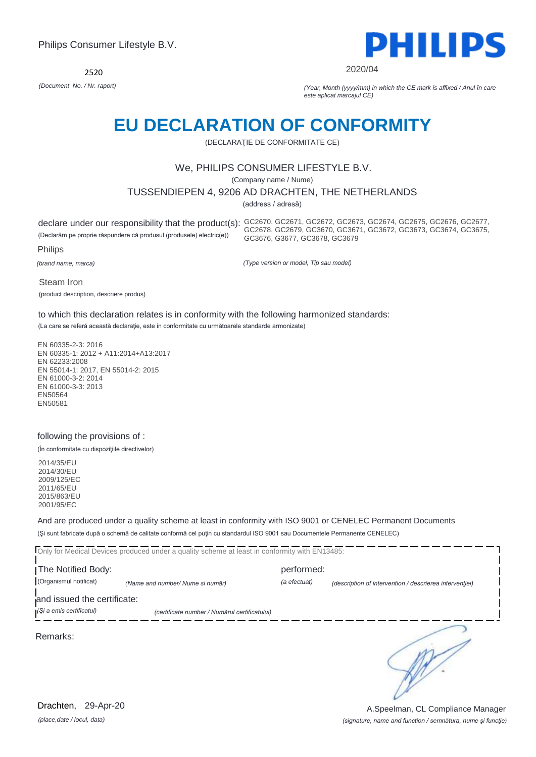2520



#### 2020/04

GC2678, GC2679, GC3670, GC3671, GC3672, GC3673, GC3674, GC3675,

*(Document No. / Nr. raport) (Year, Month (yyyy/mm) in which the CE mark is affixed / Anul în care este aplicat marcajul CE)*

# **EU DECLARATION OF CONFORMITY**

(DECLARAŢIE DE CONFORMITATE CE)

### We, PHILIPS CONSUMER LIFESTYLE B.V.

(Company name / Nume)

### TUSSENDIEPEN 4, 9206 AD DRACHTEN, THE NETHERLANDS

(address / adresă)

declare under our responsibility that the product(s): GC2670, GC2671, GC2672, GC2673, GC2674, GC2675, GC2676, GC2677,

(Declarăm pe proprie răspundere că produsul (produsele) electric(e))

Philips

*(brand name, marca)*

*(Type version or model, Tip sau model)*

GC3676, G3677, GC3678, GC3679

Steam Iron

(product description, descriere produs)

to which this declaration relates is in conformity with the following harmonized standards:

(La care se referă această declaraţie, este in conformitate cu următoarele standarde armonizate)

EN 60335-2-3: 2016 EN 60335-1: 2012 + A11:2014+A13:2017 EN 62233:2008 EN 55014-1: 2017, EN 55014-2: 2015 EN 61000-3-2: 2014 EN 61000-3-3: 2013 EN50564 EN50581

### following the provisions of :

(În conformitate cu dispoziţiile directivelor)

2014/35/EU 2014/30/EU 2009/125/EC 2011/65/EU 2015/863/EU 2001/95/EC

And are produced under a quality scheme at least in conformity with ISO 9001 or CENELEC Permanent Documents (Şi sunt fabricate după o schemă de calitate conformă cel puţin cu standardul ISO 9001 sau Documentele Permanente CENELEC)

|                             | Only for Medical Devices produced under a quality scheme at least in conformity with EN13485: |              |                                                         |
|-----------------------------|-----------------------------------------------------------------------------------------------|--------------|---------------------------------------------------------|
| The Notified Body:          |                                                                                               | performed:   |                                                         |
| (Organismul notificat)      | (Name and number/ Nume si număr)                                                              | (a efectuat) | (description of intervention / descrierea interventiei) |
| and issued the certificate: |                                                                                               |              |                                                         |
| (Și a emis certificatul)    | (certificate number / Numărul certificatului)                                                 |              |                                                         |
| Remarks:                    |                                                                                               |              |                                                         |

*(place,date / locul, data)* Drachten, 29-Apr-20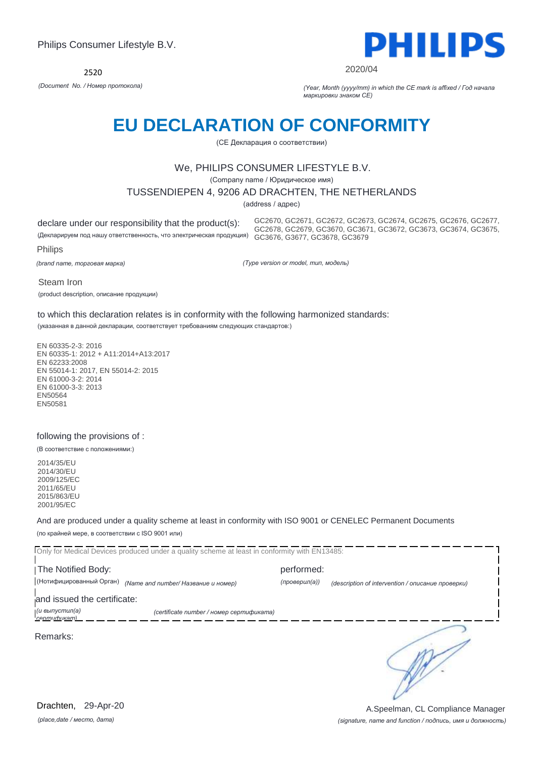

#### 2020/04

*(Document No. / Номер протокола) (Year, Month (yyyy/mm) in which the CE mark is affixed / Год начала маркировки знаком CE)*

# **EU DECLARATION OF CONFORMITY**

(CE Декларация о соответствии)

### We, PHILIPS CONSUMER LIFESTYLE B.V.

(Company name / Юридическое имя)

### TUSSENDIEPEN 4, 9206 AD DRACHTEN, THE NETHERLANDS

(address / адрес)

declare under our responsibility that the product(s):

(Декларируем под нашу ответственность, что электрическая продукция) GC3676, G3677, GC3678, GC3679 GC2670, GC2671, GC2672, GC2673, GC2674, GC2675, GC2676, GC2677, GC2678, GC2679, GC3670, GC3671, GC3672, GC3673, GC3674, GC3675,

Philips

*(brand name, торговая марка)*

*(Type version or model, тип, модель)*

Steam Iron

(product description, описание продукции)

to which this declaration relates is in conformity with the following harmonized standards:

(указанная в данной декларации, соответствует требованиям следующих стандартов:)

EN 60335-2-3: 2016 EN 60335-1: 2012 + A11:2014+A13:2017 EN 62233:2008 EN 55014-1: 2017, EN 55014-2: 2015 EN 61000-3-2: 2014 EN 61000-3-3: 2013 EN50564 EN50581

#### following the provisions of :

(В соответствие с положениями:)

2014/35/EU 2014/30/EU 2009/125/EC 2011/65/EU 2015/863/EU 2001/95/EC

And are produced under a quality scheme at least in conformity with ISO 9001 or CENELEC Permanent Documents (по крайней мере, в соответствии с ISO 9001 или)

| Only for Medical Devices produced under a quality scheme at least in conformity with EN13485: |                                          |               |                                                   |  |
|-----------------------------------------------------------------------------------------------|------------------------------------------|---------------|---------------------------------------------------|--|
| The Notified Body:                                                                            |                                          | performed:    |                                                   |  |
| (Нотифицированный Орган)                                                                      | (Name and number/ Название и номер)      | (проверил(а)) | (description of intervention / описание проверки) |  |
| and issued the certificate:                                                                   |                                          |               |                                                   |  |
| (и выпустил(а)<br><b>CADMUCHUKAM</b>                                                          | (certificate number / номер сертификата) |               |                                                   |  |
| Remarks:                                                                                      |                                          |               |                                                   |  |

*(place,date / место, дата)* Drachten, 29-Apr-20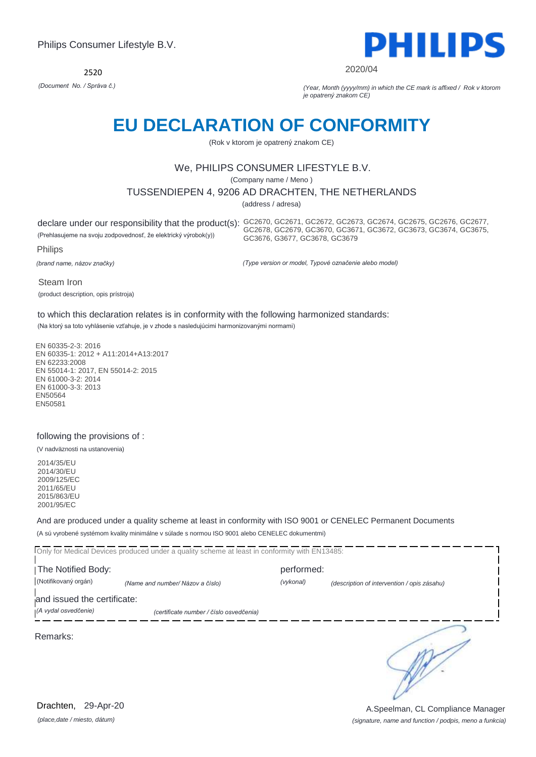2520



#### 2020/04

*(Document No. / Správa č.) (Year, Month (yyyy/mm) in which the CE mark is affixed / Rok v ktorom je opatrený znakom CE)*

# **EU DECLARATION OF CONFORMITY**

(Rok v ktorom je opatrený znakom CE)

### We, PHILIPS CONSUMER LIFESTYLE B.V.

(Company name / Meno )

TUSSENDIEPEN 4, 9206 AD DRACHTEN, THE NETHERLANDS

(address / adresa)

(Prehlasujeme na svoju zodpovednosť, že elektrický výrobok(y))

declare under our responsibility that the product(s): GC2670, GC2671, GC2672, GC2673, GC2674, GC2675, GC2676, GC2677, GC2678, GC2679, GC3670, GC3671, GC3672, GC3673, GC3674, GC3675, GC3676, G3677, GC3678, GC3679

Philips

*(brand name, názov značky)*

*(Type version or model, Typové označenie alebo model)*

Steam Iron

(product description, opis prístroja)

to which this declaration relates is in conformity with the following harmonized standards:

(Na ktorý sa toto vyhlásenie vzťahuje, je v zhode s nasledujúcimi harmonizovanými normami)

EN 60335-2-3: 2016 EN 60335-1: 2012 + A11:2014+A13:2017 EN 62233:2008 EN 55014-1: 2017, EN 55014-2: 2015 EN 61000-3-2: 2014 EN 61000-3-3: 2013 EN50564 EN50581

### following the provisions of :

(V nadväznosti na ustanovenia)

2014/35/EU 2014/30/EU 2009/125/EC 2011/65/EU 2015/863/EU 2001/95/EC

And are produced under a quality scheme at least in conformity with ISO 9001 or CENELEC Permanent Documents (A sú vyrobené systémom kvality minimálne v súlade s normou ISO 9001 alebo CENELEC dokumentmi)

| Only for Medical Devices produced under a quality scheme at least in conformity with EN13485: |                                         |            |                                             |  |
|-----------------------------------------------------------------------------------------------|-----------------------------------------|------------|---------------------------------------------|--|
| The Notified Body:                                                                            |                                         | performed: |                                             |  |
| (Notifikovaný orgán)                                                                          | (Name and number/ Názov a číslo)        | (vykonal)  | (description of intervention / opis zásahu) |  |
| and issued the certificate:                                                                   |                                         |            |                                             |  |
| (A vydal osvedčenie)                                                                          | (certificate number / číslo osvedčenia) |            |                                             |  |
| Remarks:                                                                                      |                                         |            |                                             |  |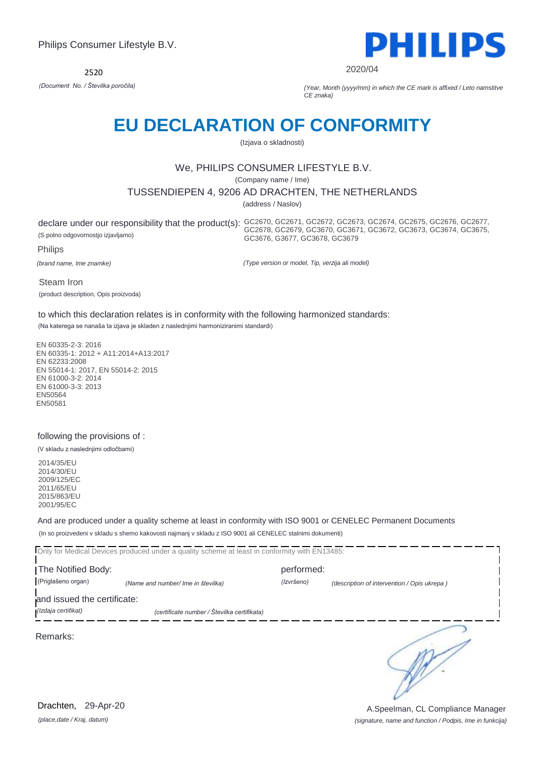

2020/04

*(Document No. / Številka poročila) (Year, Month (yyyy/mm) in which the CE mark is affixed / Leto namstitve CE znaka)*

# **EU DECLARATION OF CONFORMITY**

(Izjava o skladnosti)

### We, PHILIPS CONSUMER LIFESTYLE B.V.

(Company name / Ime)

### TUSSENDIEPEN 4, 9206 AD DRACHTEN, THE NETHERLANDS

(address / Naslov)

declare under our responsibility that the product(s): GC2670, GC2671, GC2672, GC2673, GC2674, GC2675, GC2676, GC2677, (S polno odgovornostjo izjavljamo)

GC2678, GC2679, GC3670, GC3671, GC3672, GC3673, GC3674, GC3675, GC3676, G3677, GC3678, GC3679

Philips

*(brand name, Ime znamke)*

*(Type version or model, Tip, verzija ali model)*

Steam Iron

(product description, Opis proizvoda)

to which this declaration relates is in conformity with the following harmonized standards:

(Na katerega se nanaša ta izjava je skladen z naslednjimi harmoniziranimi standardi)

EN 60335-2-3: 2016 EN 60335-1: 2012 + A11:2014+A13:2017 EN 62233:2008 EN 55014-1: 2017, EN 55014-2: 2015 EN 61000-3-2: 2014 EN 61000-3-3: 2013 EN50564 EN50581

### following the provisions of :

(V skladu z naslednjimi odločbami)

2014/35/EU 2014/30/EU 2009/125/EC 2011/65/EU 2015/863/EU 2001/95/EC

And are produced under a quality scheme at least in conformity with ISO 9001 or CENELEC Permanent Documents (In so proizvedeni v skladu s shemo kakovosti najmanj v skladu z ISO 9001 ali CENELEC stalnimi dokumenti)

Only for Medical Devices produced under a quality scheme at least in conformity with EN13485: The Notified Body: performed: (Priglašeno organ) *(Name and number/ Ime in številka) (Izvršeno) (description of intervention / Opis ukrepa )*  and issued the certificate: *(Izdaja certifikat) (certificate number / Številka certifikata)* ∍ Remarks:

*(place,date / Kraj, datum)* Drachten, 29-Apr-20

*(signature, name and function / Podpis, Ime in funkcija)* A.Speelman, CL Compliance Manager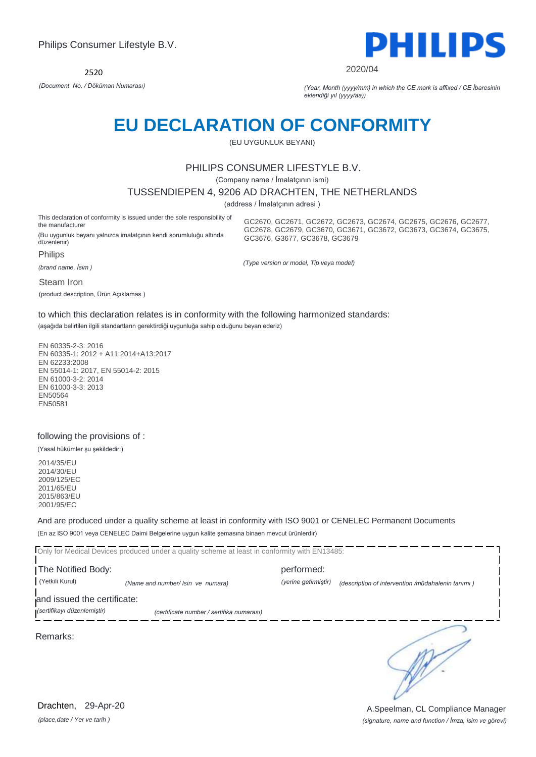

2020/04

GC2670, GC2671, GC2672, GC2673, GC2674, GC2675, GC2676, GC2677, GC2678, GC2679, GC3670, GC3671, GC3672, GC3673, GC3674, GC3675,

*(Document No. / Döküman Numarası) (Year, Month (yyyy/mm) in which the CE mark is affixed / CE İbaresinin eklendiği yıl (yyyy/aa))*

# **EU DECLARATION OF CONFORMITY**

(EU UYGUNLUK BEYANI)

### PHILIPS CONSUMER LIFESTYLE B.V.

(Company name / İmalatçının ismi)

#### TUSSENDIEPEN 4, 9206 AD DRACHTEN, THE NETHERLANDS

(address / İmalatçının adresi )

This declaration of conformity is issued under the sole responsibility of the manufacturer

(Bu uygunluk beyanı yalnızca imalatçının kendi sorumluluğu altında düzenlenir)

**Philips** 

*(brand name, İsim )*

Steam Iron

(product description, Ürün Açıklamas )

*(Type version or model, Tip veya model)*

GC3676, G3677, GC3678, GC3679

to which this declaration relates is in conformity with the following harmonized standards:

(aşağıda belirtilen ilgili standartların gerektirdiği uygunluğa sahip olduğunu beyan ederiz)

EN 60335-2-3: 2016 EN 60335-1: 2012 + A11:2014+A13:2017 EN 62233:2008 EN 55014-1: 2017, EN 55014-2: 2015 EN 61000-3-2: 2014 EN 61000-3-3: 2013 EN50564 EN50581

### following the provisions of :

(Yasal hükümler şu şekildedir:)

2014/35/EU 2014/30/EU 2009/125/EC 2011/65/EU 2015/863/EU 2001/95/EC

And are produced under a quality scheme at least in conformity with ISO 9001 or CENELEC Permanent Documents (En az ISO 9001 veya CENELEC Daimi Belgelerine uygun kalite şemasına binaen mevcut ürünlerdir)

Only for Medical Devices produced under a quality scheme at least in conformity with EN13485:

The Notified Body: performed: (Yetkili Kurul) *(Name and number/ Isin ve numara) (yerine getirmiştir) (description of intervention /müdahalenin tanımı )*  and issued the certificate:

*(sertifikayı düzenlemiştir) (certificate number / sertifika numarası)*

Remarks:

*(place,date / Yer ve tarih )* Drachten, 29-Apr-20

*(signature, name and function / İmza, isim ve görevi)* A.Speelman, CL Compliance Manager

∍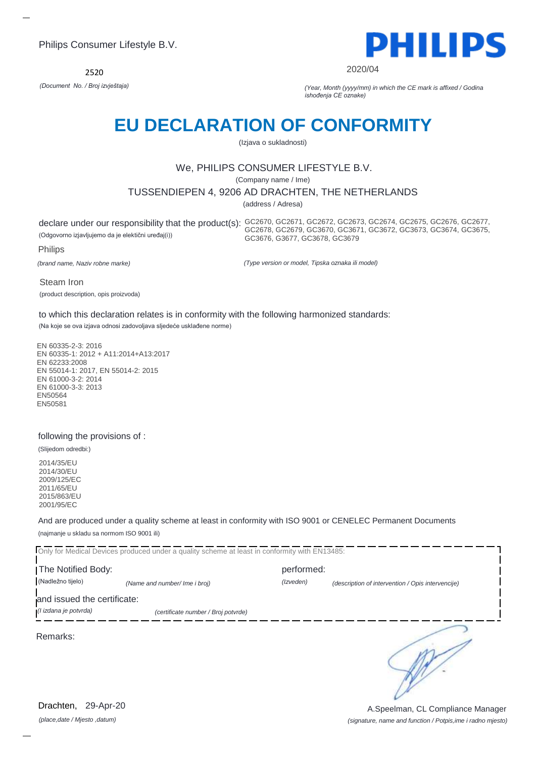2520



2020/04

*(Document No. / Broj izvještaja) (Year, Month (yyyy/mm) in which the CE mark is affixed / Godina ishođenja CE oznake)*

# **EU DECLARATION OF CONFORMITY**

(Izjava o sukladnosti)

## We, PHILIPS CONSUMER LIFESTYLE B.V.

(Company name / Ime)

### TUSSENDIEPEN 4, 9206 AD DRACHTEN, THE NETHERLANDS

(address / Adresa)

(Odgovorno izjavljujemo da je elektični uređaj(i))

declare under our responsibility that the product(s): GC2670, GC2671, GC2672, GC2673, GC2674, GC2675, GC2676, GC2677, GC2678, GC2679, GC3670, GC3671, GC3672, GC3673, GC3674, GC3675, GC3676, G3677, GC3678, GC3679

Philips

*(brand name, Naziv robne marke)*

*(Type version or model, Tipska oznaka ili model)*

Steam Iron (product description, opis proizvoda)

to which this declaration relates is in conformity with the following harmonized standards:

(Na koje se ova izjava odnosi zadovoljava sljedeće usklađene norme)

EN 60335-2-3: 2016 EN 60335-1: 2012 + A11:2014+A13:2017 EN 62233:2008 EN 55014-1: 2017, EN 55014-2: 2015 EN 61000-3-2: 2014 EN 61000-3-3: 2013 EN50564 EN50581

### following the provisions of :

(Slijedom odredbi:)

2014/35/EU 2014/30/EU 2009/125/EC 2011/65/EU 2015/863/EU 2001/95/EC

And are produced under a quality scheme at least in conformity with ISO 9001 or CENELEC Permanent Documents (najmanje u skladu sa normom ISO 9001 ili)

Only for Medical Devices produced under a quality scheme at least in conformity with EN13485: I The Notified Body: The Notified Body: (Nadležno tijelo) *(Name and number/ Ime i broj) (Izveden) (description of intervention / Opis intervencije)*  and issued the certificate: *(I izdana je potvrda) (certificate number / Broj potvrde)* ∍ Remarks:

*(place,date / Mjesto ,datum)* Drachten, 29-Apr-20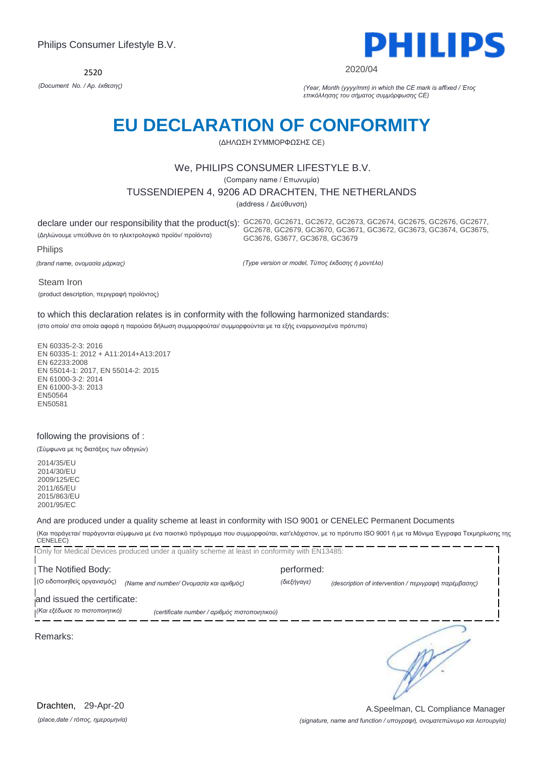2520



#### 2020/04

*(Document No. / Αρ. έκθεσης) (Year, Month (yyyy/mm) in which the CE mark is affixed / Έτος επικόλλησης του σήματος συμμόρφωσης CE)*

# **EU DECLARATION OF CONFORMITY**

(ΔΗΛΩΣΗ ΣΥΜΜΟΡΦΩΣΗΣ CE)

### We, PHILIPS CONSUMER LIFESTYLE B.V.

(Company name / Επωνυμία)

TUSSENDIEPEN 4, 9206 AD DRACHTEN, THE NETHERLANDS

(address / Διεύθυνση)

declare under our responsibility that the product(s): GC2670, GC2671, GC2672, GC2673, GC2674, GC2675, GC2676, GC2677, (Δηλώνουμε υπεύθυνα ότι το ηλεκτρολογικό προϊόν/ προϊόντα)

GC2678, GC2679, GC3670, GC3671, GC3672, GC3673, GC3674, GC3675, GC3676, G3677, GC3678, GC3679

Philips

*(brand name, ονομασία μάρκας)*

*(Type version or model, Τύπος έκδοσης ή μοντέλο)*

Steam Iron

(product description, περιγραφή προϊόντος)

### to which this declaration relates is in conformity with the following harmonized standards:

(στο οποίο/ στα οποία αφορά η παρούσα δήλωση συμμορφούται/ συμμορφούνται με τα εξής εναρμονισμένα πρότυπα)

EN 60335-2-3: 2016 EN 60335-1: 2012 + A11:2014+A13:2017 EN 62233:2008 EN 55014-1: 2017, EN 55014-2: 2015 EN 61000-3-2: 2014 EN 61000-3-3: 2013 EN50564 EN50581

### following the provisions of :

(Σύμφωνα με τις διατάξεις των οδηγιών)

2014/35/EU 2014/30/EU 2009/125/EC 2011/65/EU 2015/863/EU 2001/95/EC

And are produced under a quality scheme at least in conformity with ISO 9001 or CENELEC Permanent Documents

(Και παράγεται/ παράγονται σύμφωνα με ένα ποιοτικό πρόγραμμα που συμμορφούται, κατ'ελάχιστον, με το πρότυπο ISO 9001 ή με τα Μόνιμα Έγγραφα Τεκμηρίωσης της  $CENELEC)$ - - -Only for Medical Devices produced under a quality scheme at least in conformity with EN13485: ...

|                                | TONLY for Medical Devices produced under a quality scheme at least in conformity with ENT3485. |             |                                                      |
|--------------------------------|------------------------------------------------------------------------------------------------|-------------|------------------------------------------------------|
| The Notified Body:             |                                                                                                | performed:  |                                                      |
| (Ο ειδοποιηθείς οργανισμός)    | (Name and number/ Ονομασία και αριθμός)                                                        | (διεξήγαγε) | (description of intervention / περιγραφή παρέμβασης) |
| and issued the certificate:    |                                                                                                |             |                                                      |
| (Και εξέδωσε το πιστοποιητικό) | (certificate number / αριθμός πιστοποιητικού)                                                  |             |                                                      |
| Remarks:                       |                                                                                                |             |                                                      |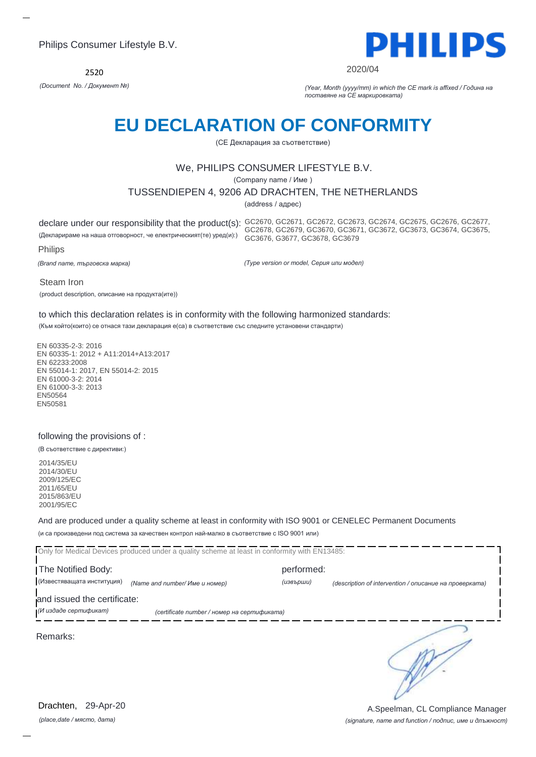2520



#### 2020/04

*(Document No. / Документ №) (Year, Month (yyyy/mm) in which the CE mark is affixed / Година на поставяне на CE маркировката)*

# **EU DECLARATION OF CONFORMITY**

(CE Декларация за съответствие)

### We, PHILIPS CONSUMER LIFESTYLE B.V.

(Company name / Име )

TUSSENDIEPEN 4, 9206 AD DRACHTEN, THE NETHERLANDS

(address / адрес)

declare under our responsibility that the product(s): GC2670, GC2671, GC2672, GC2673, GC2674, GC2675, GC2676, GC2677, (Декларираме на наша отговорност, че електрическият(те) уред(и):) GC2678, GC2679, GC3670, GC3671, GC3672, GC3673, GC3674, GC3675, GC3676, G3677, GC3678, GC3679

Philips

*(Brand name, търговска марка)*

*(Type version or model, Серия или модел)*

Steam Iron

(product description, описание на продукта(ите))

### to which this declaration relates is in conformity with the following harmonized standards:

(Към който(които) се отнася тази декларация е(са) в съответствие със следните установени стандарти)

EN 60335-2-3: 2016 EN 60335-1: 2012 + A11:2014+A13:2017 EN 62233:2008 EN 55014-1: 2017, EN 55014-2: 2015 EN 61000-3-2: 2014 EN 61000-3-3: 2013 EN50564 EN50581

### following the provisions of :

(В съответствие с директиви:)

2014/35/EU 2014/30/EU 2009/125/EC 2011/65/EU 2015/863/EU 2001/95/EC

And are produced under a quality scheme at least in conformity with ISO 9001 or CENELEC Permanent Documents (и са произведени под система за качествен контрол най-малко в съответствие с ISO 9001 или)

|                             | Only for Medical Devices produced under a quality scheme at least in conformity with EN13485: |            |                                                        |
|-----------------------------|-----------------------------------------------------------------------------------------------|------------|--------------------------------------------------------|
| The Notified Body:          |                                                                                               | performed: |                                                        |
| (Известяващата институция)  | (Name and number/ Име и номер)                                                                | (извърши)  | (description of intervention / описание на проверката) |
| and issued the certificate: |                                                                                               |            |                                                        |
| (И издаде сертификат)       | (certificate number / номер на сертификата)                                                   |            |                                                        |
| Remarks:                    |                                                                                               |            |                                                        |

*(place,date / място, дата)* Drachten, 29-Apr-20